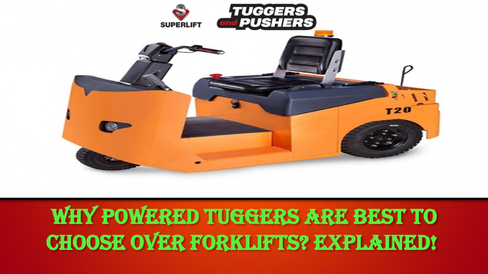

## WHY POWERED TUGGERS ARE BEST TO CHOOSE OVER FORKLIFTS? EXPLAINED!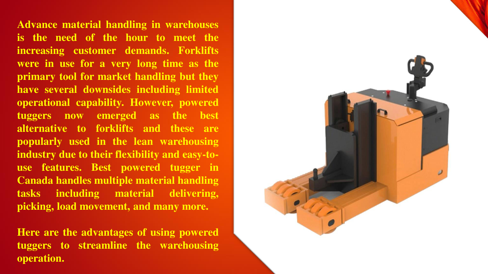**Advance material handling in warehouses is the need of the hour to meet the increasing customer demands. Forklifts were in use for a very long time as the primary tool for market handling but they have several downsides including limited operational capability. However, powered tuggers now emerged as the best alternative to forklifts and these are popularly used in the lean warehousing industry due to their flexibility and easy-touse features. Best powered tugger in Canada handles multiple material handling tasks including material delivering, picking, load movement, and many more.** 

**Here are the advantages of using powered tuggers to streamline the warehousing operation.** 

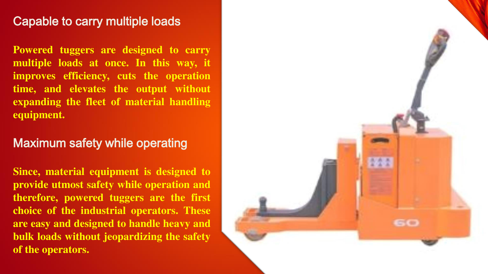#### Capable to carry multiple loads

**Powered tuggers are designed to carry multiple loads at once. In this way, it improves efficiency, cuts the operation time, and elevates the output without expanding the fleet of material handling equipment.** 

#### Maximum safety while operating

**Since, material equipment is designed to provide utmost safety while operation and therefore, powered tuggers are the first choice of the industrial operators. These are easy and designed to handle heavy and bulk loads without jeopardizing the safety of the operators.** 

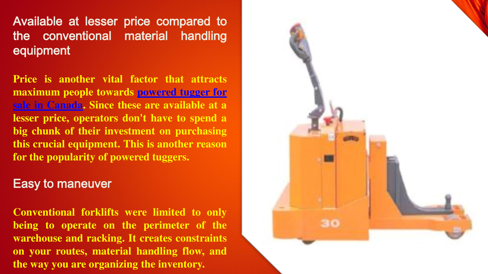## Available at lesser price compared to the conventional material handling equipment

**Price is another vital factor that attracts maximum people towards [powered tugger for](https://www.tuggersandpushers.com/collections/light-duty-tuggers/electric-powered-compact-tugger)  [sale in Canada](https://www.tuggersandpushers.com/collections/light-duty-tuggers/electric-powered-compact-tugger). Since these are available at a lesser price, operators don't have to spend a big chunk of their investment on purchasing this crucial equipment. This is another reason for the popularity of powered tuggers.** 

#### Easy to maneuver

**Conventional forklifts were limited to only being to operate on the perimeter of the warehouse and racking. It creates constraints on your routes, material handling flow, and the way you are organizing the inventory.** 

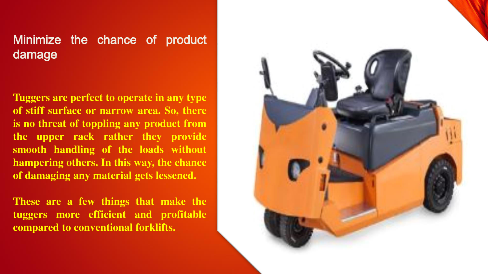### Minimize the chance of product damage

**Tuggers are perfect to operate in any type of stiff surface or narrow area. So, there is no threat of toppling any product from the upper rack rather they provide smooth handling of the loads without hampering others. In this way, the chance of damaging any material gets lessened.** 

**These are a few things that make the tuggers more efficient and profitable compared to conventional forklifts.**